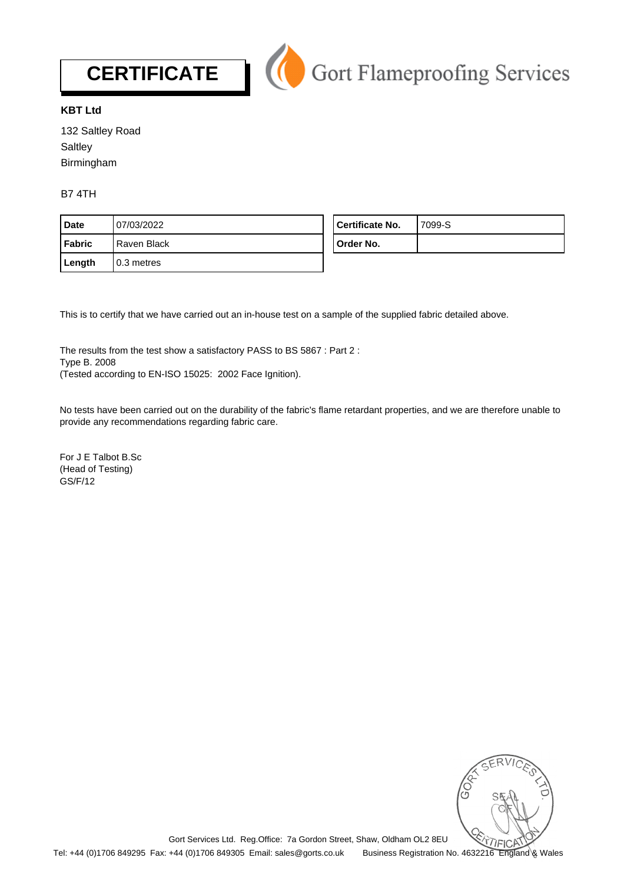



## **KBT Ltd**

132 Saltley Road **Saltley** Birmingham

B7 4TH

| <b>Date</b> | 07/03/2022   | Certificate No. | 7099-S |
|-------------|--------------|-----------------|--------|
| l Fabric    | Raven Black  | Order No.       |        |
| Length      | l 0.3 metres |                 |        |

This is to certify that we have carried out an in-house test on a sample of the supplied fabric detailed above.

The results from the test show a satisfactory PASS to BS 5867 : Part 2 : Type B. 2008 (Tested according to EN-ISO 15025: 2002 Face Ignition).

No tests have been carried out on the durability of the fabric's flame retardant properties, and we are therefore unable to provide any recommendations regarding fabric care.

For J E Talbot B.Sc (Head of Testing) GS/F/12